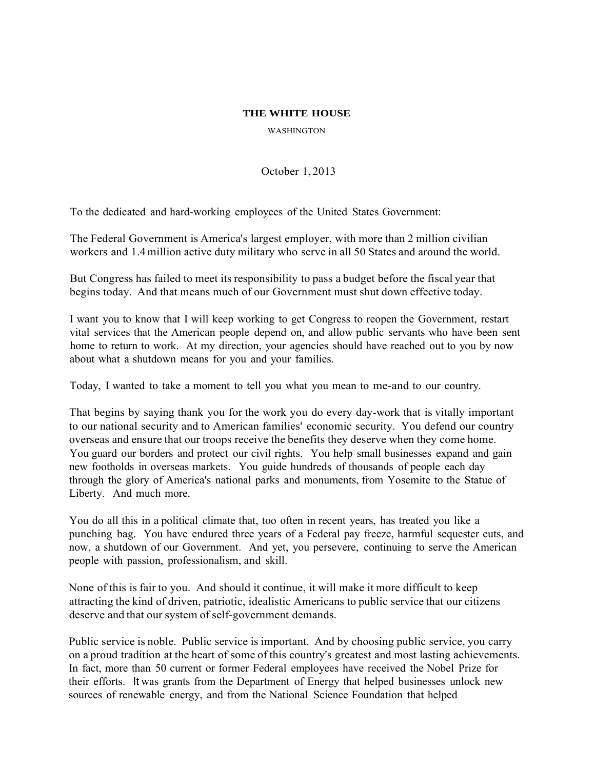## **THE WHITE HOUSE**

WASHINGTON

October 1, 2013

To the dedicated and hard-working employees of the United States Government:

The Federal Government is America's largest employer, with more than 2 million civilian workers and 1.4million active duty military who serve in all 50 States and around the world.

But Congress has failed to meet its responsibility to pass a budget before the fiscal year that begins today. And that means much of our Government must shut down effective today.

I want you to know that I will keep working to get Congress to reopen the Government, restart vital services that the American people depend on, and allow public servants who have been sent home to return to work. At my direction, your agencies should have reached out to you by now about what a shutdown means for you and your families.

Today, I wanted to take a moment to tell you what you mean to me-and to our country.

That begins by saying thank you for the work you do every day-work that is vitally important to our national security and to American families' economic security. You defend our country overseas and ensure that our troops receive the benefits they deserve when they come home. You guard our borders and protect our civil rights. You help small businesses expand and gain new footholds in overseas markets. You guide hundreds of thousands of people each day through the glory of America's national parks and monuments, from Yosemite to the Statue of Liberty. And much more.

You do all this in a political climate that, too often in recent years, has treated you like a punching bag. You have endured three years of a Federal pay freeze, harmful sequester cuts, and now, a shutdown of our Government. And yet, you persevere, continuing to serve the American people with passion, professionalism, and skill.

None of this is fair to you. And should it continue, it will make it more difficult to keep attracting the kind of driven, patriotic, idealistic Americans to public service that our citizens deserve and that our system of self-government demands.

Public service is noble. Public service is important. And by choosing public service, you carry on a proud tradition at the heart of some of this country's greatest and most lasting achievements. In fact, more than 50 current or former Federal employees have received the Nobel Prize for their efforts. It was grants from the Department of Energy that helped businesses unlock new sources of renewable energy, and from the National Science Foundation that helped